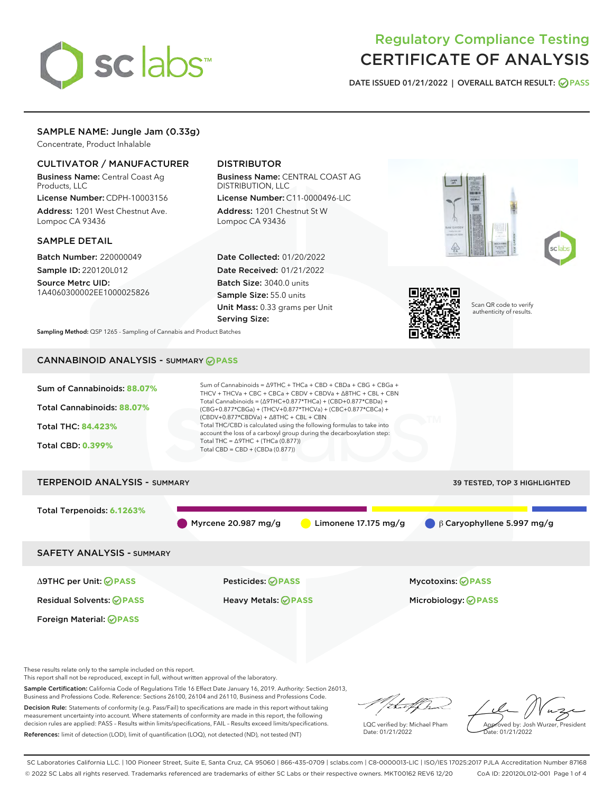# sclabs<sup>\*</sup>

# Regulatory Compliance Testing CERTIFICATE OF ANALYSIS

DATE ISSUED 01/21/2022 | OVERALL BATCH RESULT: @ PASS

# SAMPLE NAME: Jungle Jam (0.33g)

Concentrate, Product Inhalable

# CULTIVATOR / MANUFACTURER

Business Name: Central Coast Ag Products, LLC

License Number: CDPH-10003156 Address: 1201 West Chestnut Ave. Lompoc CA 93436

# SAMPLE DETAIL

Batch Number: 220000049

Sample ID: 220120L012 Source Metrc UID:

1A4060300002EE1000025826

# DISTRIBUTOR

Business Name: CENTRAL COAST AG DISTRIBUTION, LLC License Number: C11-0000496-LIC

Address: 1201 Chestnut St W Lompoc CA 93436

Date Collected: 01/20/2022 Date Received: 01/21/2022 Batch Size: 3040.0 units Sample Size: 55.0 units Unit Mass: 0.33 grams per Unit Serving Size:







Scan QR code to verify authenticity of results.

Sampling Method: QSP 1265 - Sampling of Cannabis and Product Batches

# CANNABINOID ANALYSIS - SUMMARY **PASS**

| Sum of Cannabinoids = $\triangle$ 9THC + THCa + CBD + CBDa + CBG + CBGa +<br>Sum of Cannabinoids: 88.07%<br>THCV + THCVa + CBC + CBCa + CBDV + CBDVa + $\Delta$ 8THC + CBL + CBN<br>Total Cannabinoids = $(\Delta$ 9THC+0.877*THCa) + (CBD+0.877*CBDa) +<br>Total Cannabinoids: 88.07%<br>(CBG+0.877*CBGa) + (THCV+0.877*THCVa) + (CBC+0.877*CBCa) +<br>$(CBDV+0.877*CBDVa) + \Delta 8THC + CBL + CBN$<br>Total THC/CBD is calculated using the following formulas to take into<br><b>Total THC: 84.423%</b><br>account the loss of a carboxyl group during the decarboxylation step:<br>Total THC = $\triangle$ 9THC + (THCa (0.877))<br><b>Total CBD: 0.399%</b><br>Total CBD = CBD + (CBDa (0.877)) |                                               |                                  |  |  |  |  |
|--------------------------------------------------------------------------------------------------------------------------------------------------------------------------------------------------------------------------------------------------------------------------------------------------------------------------------------------------------------------------------------------------------------------------------------------------------------------------------------------------------------------------------------------------------------------------------------------------------------------------------------------------------------------------------------------------------|-----------------------------------------------|----------------------------------|--|--|--|--|
| <b>TERPENOID ANALYSIS - SUMMARY</b>                                                                                                                                                                                                                                                                                                                                                                                                                                                                                                                                                                                                                                                                    |                                               | 39 TESTED, TOP 3 HIGHLIGHTED     |  |  |  |  |
| Total Terpenoids: 6.1263%                                                                                                                                                                                                                                                                                                                                                                                                                                                                                                                                                                                                                                                                              | Myrcene 20.987 mg/g<br>Limonene $17.175$ mg/g | $\beta$ Caryophyllene 5.997 mg/g |  |  |  |  |
| <b>SAFETY ANALYSIS - SUMMARY</b>                                                                                                                                                                                                                                                                                                                                                                                                                                                                                                                                                                                                                                                                       |                                               |                                  |  |  |  |  |
| $\triangle$ 9THC per Unit: $\bigcirc$ PASS                                                                                                                                                                                                                                                                                                                                                                                                                                                                                                                                                                                                                                                             | Pesticides: ⊘PASS                             | <b>Mycotoxins: ⊘PASS</b>         |  |  |  |  |
| <b>Residual Solvents: ⊘PASS</b>                                                                                                                                                                                                                                                                                                                                                                                                                                                                                                                                                                                                                                                                        | Heavy Metals: <b>OPASS</b>                    | Microbiology: @PASS              |  |  |  |  |
| <b>Foreign Material: ⊘PASS</b>                                                                                                                                                                                                                                                                                                                                                                                                                                                                                                                                                                                                                                                                         |                                               |                                  |  |  |  |  |

These results relate only to the sample included on this report.

This report shall not be reproduced, except in full, without written approval of the laboratory.

Sample Certification: California Code of Regulations Title 16 Effect Date January 16, 2019. Authority: Section 26013, Business and Professions Code. Reference: Sections 26100, 26104 and 26110, Business and Professions Code.

Decision Rule: Statements of conformity (e.g. Pass/Fail) to specifications are made in this report without taking measurement uncertainty into account. Where statements of conformity are made in this report, the following decision rules are applied: PASS – Results within limits/specifications, FAIL – Results exceed limits/specifications. References: limit of detection (LOD), limit of quantification (LOQ), not detected (ND), not tested (NT)

/ that f h

LQC verified by: Michael Pham Date: 01/21/2022

Approved by: Josh Wurzer, President Date: 01/21/2022

SC Laboratories California LLC. | 100 Pioneer Street, Suite E, Santa Cruz, CA 95060 | 866-435-0709 | sclabs.com | C8-0000013-LIC | ISO/IES 17025:2017 PJLA Accreditation Number 87168 © 2022 SC Labs all rights reserved. Trademarks referenced are trademarks of either SC Labs or their respective owners. MKT00162 REV6 12/20 CoA ID: 220120L012-001 Page 1 of 4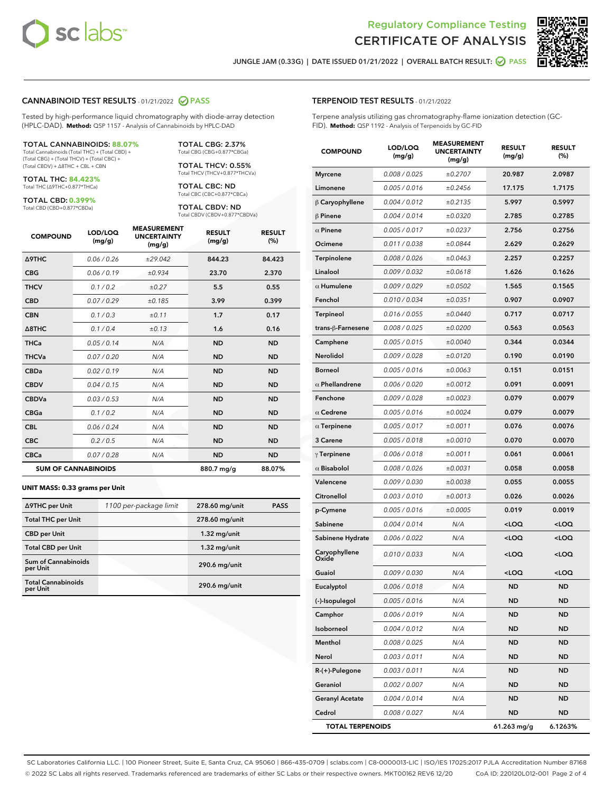

Terpene analysis utilizing gas chromatography-flame ionization detection (GC-



JUNGLE JAM (0.33G) | DATE ISSUED 01/21/2022 | OVERALL BATCH RESULT:  $\bigcirc$  PASS

TERPENOID TEST RESULTS - 01/21/2022

FID). **Method:** QSP 1192 - Analysis of Terpenoids by GC-FID

# CANNABINOID TEST RESULTS - 01/21/2022 2 PASS

Tested by high-performance liquid chromatography with diode-array detection (HPLC-DAD). **Method:** QSP 1157 - Analysis of Cannabinoids by HPLC-DAD

#### TOTAL CANNABINOIDS: **88.07%**

Total Cannabinoids (Total THC) + (Total CBD) + (Total CBG) + (Total THCV) + (Total CBC) + (Total CBDV) + ∆8THC + CBL + CBN

TOTAL THC: **84.423%** Total THC (∆9THC+0.877\*THCa)

TOTAL CBD: **0.399%**

Total CBD (CBD+0.877\*CBDa)

TOTAL CBG: 2.37% Total CBG (CBG+0.877\*CBGa)

TOTAL THCV: 0.55% Total THCV (THCV+0.877\*THCVa)

TOTAL CBC: ND Total CBC (CBC+0.877\*CBCa)

TOTAL CBDV: ND Total CBDV (CBDV+0.877\*CBDVa)

| <b>COMPOUND</b>            | LOD/LOQ<br>(mg/g) | <b>MEASUREMENT</b><br><b>UNCERTAINTY</b><br>(mg/g) | <b>RESULT</b><br>(mg/g) | <b>RESULT</b><br>(%) |
|----------------------------|-------------------|----------------------------------------------------|-------------------------|----------------------|
| <b>A9THC</b>               | 0.06 / 0.26       | ±29.042                                            | 844.23                  | 84.423               |
| <b>CBG</b>                 | 0.06 / 0.19       | ±0.934                                             | 23.70                   | 2.370                |
| <b>THCV</b>                | 0.1 / 0.2         | ±0.27                                              | 5.5                     | 0.55                 |
| <b>CBD</b>                 | 0.07/0.29         | ±0.185                                             | 3.99                    | 0.399                |
| <b>CBN</b>                 | 0.1 / 0.3         | ±0.11                                              | 1.7                     | 0.17                 |
| $\triangle$ 8THC           | 0.1 / 0.4         | ±0.13                                              | 1.6                     | 0.16                 |
| <b>THCa</b>                | 0.05/0.14         | N/A                                                | <b>ND</b>               | <b>ND</b>            |
| <b>THCVa</b>               | 0.07/0.20         | N/A                                                | <b>ND</b>               | <b>ND</b>            |
| <b>CBDa</b>                | 0.02/0.19         | N/A                                                | <b>ND</b>               | <b>ND</b>            |
| <b>CBDV</b>                | 0.04 / 0.15       | N/A                                                | <b>ND</b>               | <b>ND</b>            |
| <b>CBDVa</b>               | 0.03/0.53         | N/A                                                | <b>ND</b>               | <b>ND</b>            |
| <b>CBGa</b>                | 0.1/0.2           | N/A                                                | <b>ND</b>               | <b>ND</b>            |
| <b>CBL</b>                 | 0.06 / 0.24       | N/A                                                | <b>ND</b>               | <b>ND</b>            |
| <b>CBC</b>                 | 0.2 / 0.5         | N/A                                                | <b>ND</b>               | <b>ND</b>            |
| <b>CBCa</b>                | 0.07/0.28         | N/A                                                | <b>ND</b>               | <b>ND</b>            |
| <b>SUM OF CANNABINOIDS</b> |                   |                                                    | 880.7 mg/g              | 88.07%               |

#### **UNIT MASS: 0.33 grams per Unit**

| ∆9THC per Unit                         | 1100 per-package limit | 278.60 mg/unit  | <b>PASS</b> |
|----------------------------------------|------------------------|-----------------|-------------|
| <b>Total THC per Unit</b>              |                        | 278.60 mg/unit  |             |
| <b>CBD</b> per Unit                    |                        | $1.32$ mg/unit  |             |
| <b>Total CBD per Unit</b>              |                        | $1.32$ mg/unit  |             |
| <b>Sum of Cannabinoids</b><br>per Unit |                        | 290.6 mg/unit   |             |
| <b>Total Cannabinoids</b><br>per Unit  |                        | $290.6$ mg/unit |             |

| <b>COMPOUND</b>         | LOD/LOQ<br>(mg/g) | <b>MEASUREMENT</b><br><b>UNCERTAINTY</b><br>(mg/g) | <b>RESULT</b><br>(mg/g)                         | <b>RESULT</b><br>(%) |
|-------------------------|-------------------|----------------------------------------------------|-------------------------------------------------|----------------------|
| <b>Myrcene</b>          | 0.008 / 0.025     | ±0.2707                                            | 20.987                                          | 2.0987               |
| Limonene                | 0.005 / 0.016     | ±0.2456                                            | 17.175                                          | 1.7175               |
| $\beta$ Caryophyllene   | 0.004 / 0.012     | ±0.2135                                            | 5.997                                           | 0.5997               |
| $\beta$ Pinene          | 0.004 / 0.014     | ±0.0320                                            | 2.785                                           | 0.2785               |
| $\alpha$ Pinene         | 0.005 / 0.017     | ±0.0237                                            | 2.756                                           | 0.2756               |
| Ocimene                 | 0.011 / 0.038     | ±0.0844                                            | 2.629                                           | 0.2629               |
| Terpinolene             | 0.008 / 0.026     | ±0.0463                                            | 2.257                                           | 0.2257               |
| Linalool                | 0.009 / 0.032     | ±0.0618                                            | 1.626                                           | 0.1626               |
| $\alpha$ Humulene       | 0.009/0.029       | ±0.0502                                            | 1.565                                           | 0.1565               |
| Fenchol                 | 0.010 / 0.034     | ±0.0351                                            | 0.907                                           | 0.0907               |
| <b>Terpineol</b>        | 0.016 / 0.055     | ±0.0440                                            | 0.717                                           | 0.0717               |
| trans-β-Farnesene       | 0.008 / 0.025     | ±0.0200                                            | 0.563                                           | 0.0563               |
| Camphene                | 0.005 / 0.015     | ±0.0040                                            | 0.344                                           | 0.0344               |
| Nerolidol               | 0.009 / 0.028     | ±0.0120                                            | 0.190                                           | 0.0190               |
| <b>Borneol</b>          | 0.005 / 0.016     | ±0.0063                                            | 0.151                                           | 0.0151               |
| $\alpha$ Phellandrene   | 0.006 / 0.020     | ±0.0012                                            | 0.091                                           | 0.0091               |
| Fenchone                | 0.009 / 0.028     | ±0.0023                                            | 0.079                                           | 0.0079               |
| $\alpha$ Cedrene        | 0.005 / 0.016     | ±0.0024                                            | 0.079                                           | 0.0079               |
| $\alpha$ Terpinene      | 0.005 / 0.017     | ±0.0011                                            | 0.076                                           | 0.0076               |
| 3 Carene                | 0.005 / 0.018     | ±0.0010                                            | 0.070                                           | 0.0070               |
| $\gamma$ Terpinene      | 0.006 / 0.018     | ±0.0011                                            | 0.061                                           | 0.0061               |
| $\alpha$ Bisabolol      | 0.008 / 0.026     | ±0.0031                                            | 0.058                                           | 0.0058               |
| Valencene               | 0.009 / 0.030     | ±0.0038                                            | 0.055                                           | 0.0055               |
| Citronellol             | 0.003 / 0.010     | ±0.0013                                            | 0.026                                           | 0.0026               |
| p-Cymene                | 0.005 / 0.016     | ±0.0005                                            | 0.019                                           | 0.0019               |
| Sabinene                | 0.004 / 0.014     | N/A                                                | <loq< th=""><th><loq< th=""></loq<></th></loq<> | <loq< th=""></loq<>  |
| Sabinene Hydrate        | 0.006 / 0.022     | N/A                                                | <loq< th=""><th><loq< th=""></loq<></th></loq<> | <loq< th=""></loq<>  |
| Caryophyllene<br>Oxide  | 0.010 / 0.033     | N/A                                                | <loq< th=""><th><loq< th=""></loq<></th></loq<> | <loq< th=""></loq<>  |
| Guaiol                  | 0.009 / 0.030     | N/A                                                | <loq< th=""><th><loq< th=""></loq<></th></loq<> | <loq< th=""></loq<>  |
| Eucalyptol              | 0.006 / 0.018     | N/A                                                | ND                                              | <b>ND</b>            |
| (-)-Isopulegol          | 0.005 / 0.016     | N/A                                                | ND                                              | ND                   |
| Camphor                 | 0.006 / 0.019     | N/A                                                | ND                                              | ND                   |
| Isoborneol              | 0.004 / 0.012     | N/A                                                | ND                                              | ND                   |
| Menthol                 | 0.008 / 0.025     | N/A                                                | ND                                              | ND                   |
| Nerol                   | 0.003 / 0.011     | N/A                                                | ND                                              | ND                   |
| R-(+)-Pulegone          | 0.003 / 0.011     | N/A                                                | ND                                              | ND                   |
| Geraniol                | 0.002 / 0.007     | N/A                                                | ND                                              | ND                   |
| <b>Geranyl Acetate</b>  | 0.004 / 0.014     | N/A                                                | ND                                              | ND                   |
| Cedrol                  | 0.008 / 0.027     | N/A                                                | ND                                              | ND                   |
| <b>TOTAL TERPENOIDS</b> |                   |                                                    | 61.263 mg/g                                     | 6.1263%              |

SC Laboratories California LLC. | 100 Pioneer Street, Suite E, Santa Cruz, CA 95060 | 866-435-0709 | sclabs.com | C8-0000013-LIC | ISO/IES 17025:2017 PJLA Accreditation Number 87168 © 2022 SC Labs all rights reserved. Trademarks referenced are trademarks of either SC Labs or their respective owners. MKT00162 REV6 12/20 CoA ID: 220120L012-001 Page 2 of 4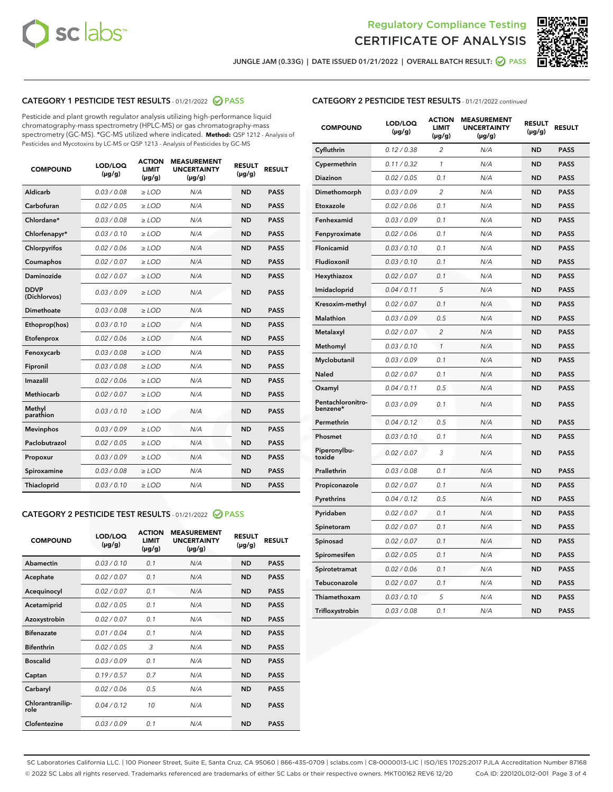



JUNGLE JAM (0.33G) | DATE ISSUED 01/21/2022 | OVERALL BATCH RESULT:  $\bigotimes$  PASS

# CATEGORY 1 PESTICIDE TEST RESULTS - 01/21/2022 2 PASS

Pesticide and plant growth regulator analysis utilizing high-performance liquid chromatography-mass spectrometry (HPLC-MS) or gas chromatography-mass spectrometry (GC-MS). \*GC-MS utilized where indicated. **Method:** QSP 1212 - Analysis of Pesticides and Mycotoxins by LC-MS or QSP 1213 - Analysis of Pesticides by GC-MS

| <b>COMPOUND</b>             | LOD/LOQ<br>$(\mu g/g)$ | <b>ACTION</b><br><b>LIMIT</b><br>$(\mu g/g)$ | <b>MEASUREMENT</b><br><b>UNCERTAINTY</b><br>$(\mu g/g)$ | <b>RESULT</b><br>$(\mu g/g)$ | <b>RESULT</b> |
|-----------------------------|------------------------|----------------------------------------------|---------------------------------------------------------|------------------------------|---------------|
| Aldicarb                    | 0.03/0.08              | $>$ LOD                                      | N/A                                                     | <b>ND</b>                    | <b>PASS</b>   |
| Carbofuran                  | 0.02 / 0.05            | $\ge$ LOD                                    | N/A                                                     | <b>ND</b>                    | <b>PASS</b>   |
| Chlordane*                  | 0.03 / 0.08            | $\ge$ LOD                                    | N/A                                                     | <b>ND</b>                    | <b>PASS</b>   |
| Chlorfenapyr*               | 0.03/0.10              | $\ge$ LOD                                    | N/A                                                     | <b>ND</b>                    | <b>PASS</b>   |
| Chlorpyrifos                | 0.02 / 0.06            | $\ge$ LOD                                    | N/A                                                     | <b>ND</b>                    | <b>PASS</b>   |
| Coumaphos                   | 0.02 / 0.07            | $\ge$ LOD                                    | N/A                                                     | <b>ND</b>                    | <b>PASS</b>   |
| Daminozide                  | 0.02/0.07              | $>$ LOD                                      | N/A                                                     | <b>ND</b>                    | <b>PASS</b>   |
| <b>DDVP</b><br>(Dichlorvos) | 0.03/0.09              | $\ge$ LOD                                    | N/A                                                     | <b>ND</b>                    | <b>PASS</b>   |
| <b>Dimethoate</b>           | 0.03/0.08              | $\ge$ LOD                                    | N/A                                                     | <b>ND</b>                    | <b>PASS</b>   |
| Ethoprop(hos)               | 0.03/0.10              | $\ge$ LOD                                    | N/A                                                     | <b>ND</b>                    | <b>PASS</b>   |
| Etofenprox                  | 0.02 / 0.06            | $\ge$ LOD                                    | N/A                                                     | <b>ND</b>                    | <b>PASS</b>   |
| Fenoxycarb                  | 0.03/0.08              | $\ge$ LOD                                    | N/A                                                     | <b>ND</b>                    | <b>PASS</b>   |
| Fipronil                    | 0.03/0.08              | $\ge$ LOD                                    | N/A                                                     | <b>ND</b>                    | <b>PASS</b>   |
| Imazalil                    | 0.02 / 0.06            | $>$ LOD                                      | N/A                                                     | <b>ND</b>                    | <b>PASS</b>   |
| Methiocarb                  | 0.02 / 0.07            | $>$ LOD                                      | N/A                                                     | <b>ND</b>                    | <b>PASS</b>   |
| Methyl<br>parathion         | 0.03/0.10              | $>$ LOD                                      | N/A                                                     | <b>ND</b>                    | <b>PASS</b>   |
| <b>Mevinphos</b>            | 0.03/0.09              | $\ge$ LOD                                    | N/A                                                     | <b>ND</b>                    | <b>PASS</b>   |
| Paclobutrazol               | 0.02 / 0.05            | $>$ LOD                                      | N/A                                                     | <b>ND</b>                    | <b>PASS</b>   |
| Propoxur                    | 0.03/0.09              | $\ge$ LOD                                    | N/A                                                     | <b>ND</b>                    | <b>PASS</b>   |
| Spiroxamine                 | 0.03 / 0.08            | $\ge$ LOD                                    | N/A                                                     | <b>ND</b>                    | <b>PASS</b>   |
| Thiacloprid                 | 0.03/0.10              | $\ge$ LOD                                    | N/A                                                     | <b>ND</b>                    | <b>PASS</b>   |

# CATEGORY 2 PESTICIDE TEST RESULTS - 01/21/2022 2 PASS

| <b>COMPOUND</b>          | LOD/LOO<br>$(\mu g/g)$ | <b>ACTION</b><br>LIMIT<br>$(\mu g/g)$ | <b>MEASUREMENT</b><br><b>UNCERTAINTY</b><br>$(\mu g/g)$ | <b>RESULT</b><br>$(\mu g/g)$ | <b>RESULT</b> |  |
|--------------------------|------------------------|---------------------------------------|---------------------------------------------------------|------------------------------|---------------|--|
| Abamectin                | 0.03/0.10              | 0.1                                   | N/A                                                     | <b>ND</b>                    | <b>PASS</b>   |  |
| Acephate                 | 0.02/0.07              | 0.1                                   | N/A                                                     | <b>ND</b>                    | <b>PASS</b>   |  |
| Acequinocyl              | 0.02/0.07              | 0.1                                   | N/A                                                     | <b>ND</b>                    | <b>PASS</b>   |  |
| Acetamiprid              | 0.02 / 0.05            | 0.1                                   | N/A                                                     | <b>ND</b>                    | <b>PASS</b>   |  |
| Azoxystrobin             | 0.02/0.07              | 0.1                                   | N/A                                                     | <b>ND</b>                    | <b>PASS</b>   |  |
| <b>Bifenazate</b>        | 0.01 / 0.04            | 0.1                                   | N/A                                                     | <b>ND</b>                    | <b>PASS</b>   |  |
| <b>Bifenthrin</b>        | 0.02 / 0.05            | 3                                     | N/A                                                     | <b>ND</b>                    | <b>PASS</b>   |  |
| <b>Boscalid</b>          | 0.03/0.09              | 0.1                                   | N/A                                                     | <b>ND</b>                    | <b>PASS</b>   |  |
| Captan                   | 0.19/0.57              | 0.7                                   | N/A                                                     | <b>ND</b>                    | <b>PASS</b>   |  |
| Carbaryl                 | 0.02/0.06              | 0.5                                   | N/A                                                     | <b>ND</b>                    | <b>PASS</b>   |  |
| Chlorantranilip-<br>role | 0.04/0.12              | 10                                    | N/A                                                     | <b>ND</b>                    | <b>PASS</b>   |  |
| Clofentezine             | 0.03/0.09              | 0.1                                   | N/A                                                     | <b>ND</b>                    | <b>PASS</b>   |  |

| <b>CATEGORY 2 PESTICIDE TEST RESULTS</b> - 01/21/2022 continued |
|-----------------------------------------------------------------|
|-----------------------------------------------------------------|

| <b>COMPOUND</b>               | LOD/LOQ<br>(µg/g) | <b>ACTION</b><br><b>LIMIT</b><br>$(\mu g/g)$ | <b>MEASUREMENT</b><br><b>UNCERTAINTY</b><br>$(\mu g/g)$ | <b>RESULT</b><br>(µg/g) | <b>RESULT</b> |
|-------------------------------|-------------------|----------------------------------------------|---------------------------------------------------------|-------------------------|---------------|
| Cyfluthrin                    | 0.12 / 0.38       | $\overline{c}$                               | N/A                                                     | <b>ND</b>               | <b>PASS</b>   |
| Cypermethrin                  | 0.11 / 0.32       | 1                                            | N/A                                                     | ND                      | <b>PASS</b>   |
| <b>Diazinon</b>               | 0.02 / 0.05       | 0.1                                          | N/A                                                     | ND                      | <b>PASS</b>   |
| Dimethomorph                  | 0.03 / 0.09       | $\overline{2}$                               | N/A                                                     | ND                      | <b>PASS</b>   |
| Etoxazole                     | 0.02 / 0.06       | 0.1                                          | N/A                                                     | ND                      | <b>PASS</b>   |
| Fenhexamid                    | 0.03 / 0.09       | 0.1                                          | N/A                                                     | ND                      | <b>PASS</b>   |
| Fenpyroximate                 | 0.02 / 0.06       | 0.1                                          | N/A                                                     | <b>ND</b>               | <b>PASS</b>   |
| Flonicamid                    | 0.03 / 0.10       | 0.1                                          | N/A                                                     | <b>ND</b>               | <b>PASS</b>   |
| Fludioxonil                   | 0.03 / 0.10       | 0.1                                          | N/A                                                     | <b>ND</b>               | <b>PASS</b>   |
| Hexythiazox                   | 0.02 / 0.07       | 0.1                                          | N/A                                                     | <b>ND</b>               | <b>PASS</b>   |
| Imidacloprid                  | 0.04 / 0.11       | 5                                            | N/A                                                     | <b>ND</b>               | <b>PASS</b>   |
| Kresoxim-methyl               | 0.02 / 0.07       | 0.1                                          | N/A                                                     | ND                      | <b>PASS</b>   |
| <b>Malathion</b>              | 0.03 / 0.09       | 0.5                                          | N/A                                                     | ND                      | <b>PASS</b>   |
| Metalaxyl                     | 0.02 / 0.07       | $\overline{2}$                               | N/A                                                     | <b>ND</b>               | <b>PASS</b>   |
| Methomyl                      | 0.03 / 0.10       | $\mathbf{1}$                                 | N/A                                                     | <b>ND</b>               | <b>PASS</b>   |
| Myclobutanil                  | 0.03 / 0.09       | 0.1                                          | N/A                                                     | ND                      | <b>PASS</b>   |
| <b>Naled</b>                  | 0.02 / 0.07       | 0.1                                          | N/A                                                     | <b>ND</b>               | <b>PASS</b>   |
| Oxamyl                        | 0.04 / 0.11       | 0.5                                          | N/A                                                     | <b>ND</b>               | <b>PASS</b>   |
| Pentachloronitro-<br>benzene* | 0.03 / 0.09       | 0.1                                          | N/A                                                     | <b>ND</b>               | <b>PASS</b>   |
| Permethrin                    | 0.04 / 0.12       | 0.5                                          | N/A                                                     | ND                      | <b>PASS</b>   |
| Phosmet                       | 0.03 / 0.10       | 0.1                                          | N/A                                                     | <b>ND</b>               | <b>PASS</b>   |
| Piperonylbu-<br>toxide        | 0.02 / 0.07       | 3                                            | N/A                                                     | ND                      | <b>PASS</b>   |
| Prallethrin                   | 0.03 / 0.08       | 0.1                                          | N/A                                                     | ND                      | <b>PASS</b>   |
| Propiconazole                 | 0.02 / 0.07       | 0.1                                          | N/A                                                     | ND                      | <b>PASS</b>   |
| Pyrethrins                    | 0.04 / 0.12       | 0.5                                          | N/A                                                     | ND                      | <b>PASS</b>   |
| Pyridaben                     | 0.02 / 0.07       | 0.1                                          | N/A                                                     | <b>ND</b>               | <b>PASS</b>   |
| Spinetoram                    | 0.02 / 0.07       | 0.1                                          | N/A                                                     | ND                      | <b>PASS</b>   |
| Spinosad                      | 0.02 / 0.07       | 0.1                                          | N/A                                                     | ND                      | <b>PASS</b>   |
| Spiromesifen                  | 0.02 / 0.05       | 0.1                                          | N/A                                                     | ND                      | <b>PASS</b>   |
| Spirotetramat                 | 0.02 / 0.06       | 0.1                                          | N/A                                                     | ND                      | <b>PASS</b>   |
| Tebuconazole                  | 0.02 / 0.07       | 0.1                                          | N/A                                                     | ND                      | <b>PASS</b>   |
| Thiamethoxam                  | 0.03 / 0.10       | 5                                            | N/A                                                     | ND                      | <b>PASS</b>   |
| Trifloxystrobin               | 0.03 / 0.08       | 0.1                                          | N/A                                                     | <b>ND</b>               | <b>PASS</b>   |

SC Laboratories California LLC. | 100 Pioneer Street, Suite E, Santa Cruz, CA 95060 | 866-435-0709 | sclabs.com | C8-0000013-LIC | ISO/IES 17025:2017 PJLA Accreditation Number 87168 © 2022 SC Labs all rights reserved. Trademarks referenced are trademarks of either SC Labs or their respective owners. MKT00162 REV6 12/20 CoA ID: 220120L012-001 Page 3 of 4